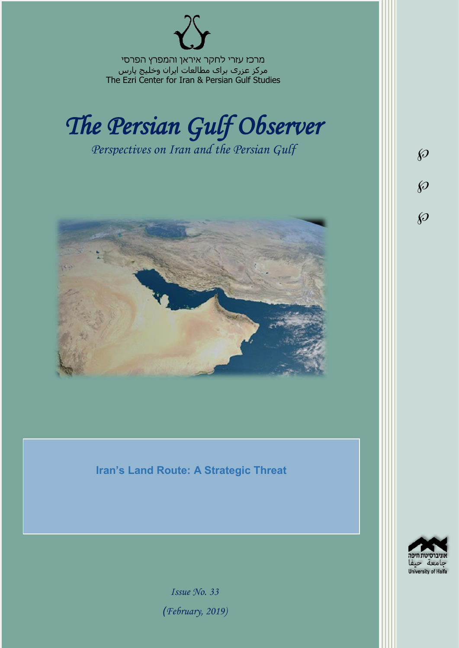מרכז עזרי לחקר איראן והמפרץ הפרסי مرکز عزری برای مطالعات ایران وخلیج پارس The Ezri Center for Iran & Persian Gulf Studies



*Perspectives on Iran and the Persian Gulf* 



**Iran's Land Route: A Strategic Threat**



 $\wp$ 

 $\wp$ 

 $\wp$ 

*Issue No. 33 )February, 2019)*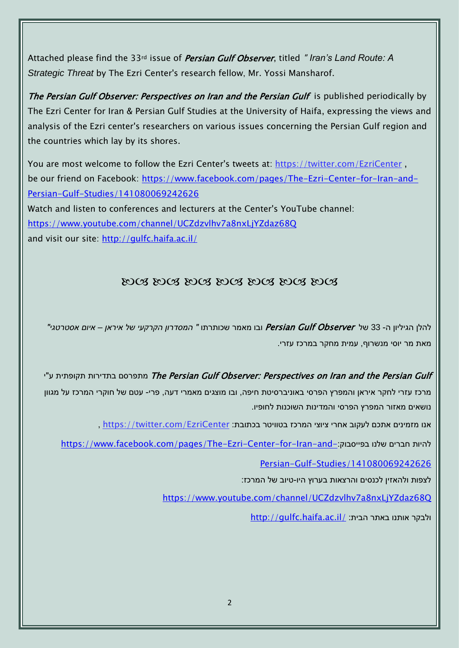Attached please find the 33rd issue of Persian Gulf Observer, titled " *Iran's Land Route: A Strategic Threat* by The Ezri Center's research fellow, Mr. Yossi Mansharof.

The Persian Gulf Observer: Perspectives on Iran and the Persian Gulf is published periodically by The Ezri Center for Iran & Persian Gulf Studies at the University of Haifa, expressing the views and analysis of the Ezri center's researchers on various issues concerning the Persian Gulf region and the countries which lay by its shores.

You are most welcome to follow the Ezri Center's tweets at: <https://twitter.com/EzriCenter> , be our friend on Facebook: [https://www.facebook.com/pages/The-Ezri-Center-for-Iran-and-](https://www.facebook.com/pages/The-Ezri-Center-for-Iran-and-Persian-Gulf-Studies/141080069242626)[Persian-Gulf-Studies/141080069242626](https://www.facebook.com/pages/The-Ezri-Center-for-Iran-and-Persian-Gulf-Studies/141080069242626) Watch and listen to conferences and lecturers at the Center's YouTube channel:

<https://www.youtube.com/channel/UCZdzvlhv7a8nxLjYZdaz68Q>

and visit our site:<http://gulfc.haifa.ac.il/>

## DOG DOG DOG DOG DOG DOG DOG

להלן הגיליון ה- 33 של Observer Gulf Persian ובו מאמר שכותרתו *" המסדרון הקרקעי של איראן – איום אסטרטגי"* מאת מר יוסי מנשרוף, עמית מחקר במרכז עזרי.

יתפרסם בתדירות תקופתית ע"י The Persian Gulf Observer: Perspectives on Iran and the Persian Gulf מרכז עזרי לחקר איראן והמפרץ הפרסי באוניברסיטת חיפה, ובו מוצגים מאמרי דעה, פרי- עטם של חוקרי המרכז על מגוון נושאים מאזור המפרץ הפרסי והמדינות השוכנות לחופיו.

, https://twitter.com/EzriCenter אנו מזמינים אתכם לעקוב אחרי ציוצי המרכז בטוויטר בכתובת:

[https://www.facebook.com/pages/The-Ezri-Center-for-Iran-and-](https://www.facebook.com/pages/The-Ezri-Center-for-Iran-and-Persian-Gulf-Studies/141080069242626):כהיות חברים שלנו בפייסבוק:

[Persian-Gulf-Studies/141080069242626](https://www.facebook.com/pages/The-Ezri-Center-for-Iran-and-Persian-Gulf-Studies/141080069242626)

לצפות ולהאזין לכנסים והרצאות בערוץ היו-טיוב של המרכז:

<https://www.youtube.com/channel/UCZdzvlhv7a8nxLjYZdaz68Q>

<http://gulfc.haifa.ac.il/> ולבקר אותנו באתר הבית: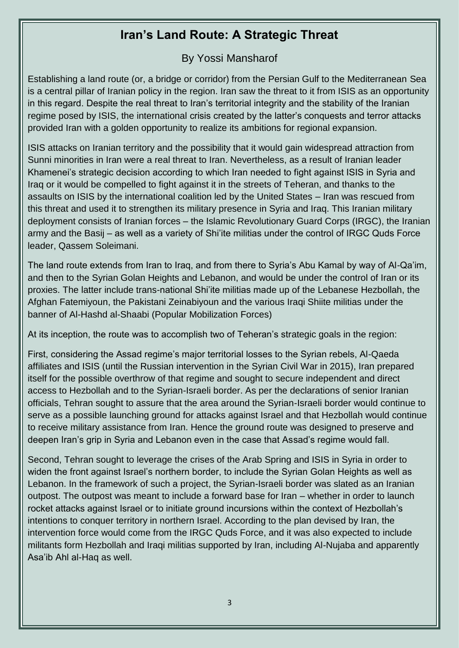## **Iran's Land Route: A Strategic Threat**

## By Yossi Mansharof

Establishing a land route (or, a bridge or corridor) from the Persian Gulf to the Mediterranean Sea is a central pillar of Iranian policy in the region. Iran saw the threat to it from ISIS as an opportunity in this regard. Despite the real threat to Iran's territorial integrity and the stability of the Iranian regime posed by ISIS, the international crisis created by the latter's conquests and terror attacks provided Iran with a golden opportunity to realize its ambitions for regional expansion.

ISIS attacks on Iranian territory and the possibility that it would gain widespread attraction from Sunni minorities in Iran were a real threat to Iran. Nevertheless, as a result of Iranian leader Khamenei's strategic decision according to which Iran needed to fight against ISIS in Syria and Iraq or it would be compelled to fight against it in the streets of Teheran, and thanks to the assaults on ISIS by the international coalition led by the United States – Iran was rescued from this threat and used it to strengthen its military presence in Syria and Iraq. This Iranian military deployment consists of Iranian forces – the Islamic Revolutionary Guard Corps (IRGC), the Iranian army and the Basij – as well as a variety of Shi'ite militias under the control of IRGC Quds Force leader, Qassem Soleimani.

The land route extends from Iran to Iraq, and from there to Syria's Abu Kamal by way of Al-Qa'im, and then to the Syrian Golan Heights and Lebanon, and would be under the control of Iran or its proxies. The latter include trans-national Shi'ite militias made up of the Lebanese Hezbollah, the Afghan Fatemiyoun, the Pakistani Zeinabiyoun and the various Iraqi Shiite militias under the banner of Al-Hashd al-Shaabi (Popular Mobilization Forces)

At its inception, the route was to accomplish two of Teheran's strategic goals in the region:

First, considering the Assad regime's major territorial losses to the Syrian rebels, Al-Qaeda affiliates and ISIS (until the Russian intervention in the Syrian Civil War in 2015), Iran prepared itself for the possible overthrow of that regime and sought to secure independent and direct access to Hezbollah and to the Syrian-Israeli border. As per the declarations of senior Iranian officials, Tehran sought to assure that the area around the Syrian-Israeli border would continue to serve as a possible launching ground for attacks against Israel and that Hezbollah would continue to receive military assistance from Iran. Hence the ground route was designed to preserve and deepen Iran's grip in Syria and Lebanon even in the case that Assad's regime would fall.

Second, Tehran sought to leverage the crises of the Arab Spring and ISIS in Syria in order to widen the front against Israel's northern border, to include the Syrian Golan Heights as well as Lebanon. In the framework of such a project, the Syrian-Israeli border was slated as an Iranian outpost. The outpost was meant to include a forward base for Iran – whether in order to launch rocket attacks against Israel or to initiate ground incursions within the context of Hezbollah's intentions to conquer territory in northern Israel. According to the plan devised by Iran, the intervention force would come from the IRGC Quds Force, and it was also expected to include militants form Hezbollah and Iraqi militias supported by Iran, including Al-Nujaba and apparently Asa'ib Ahl al-Haq as well.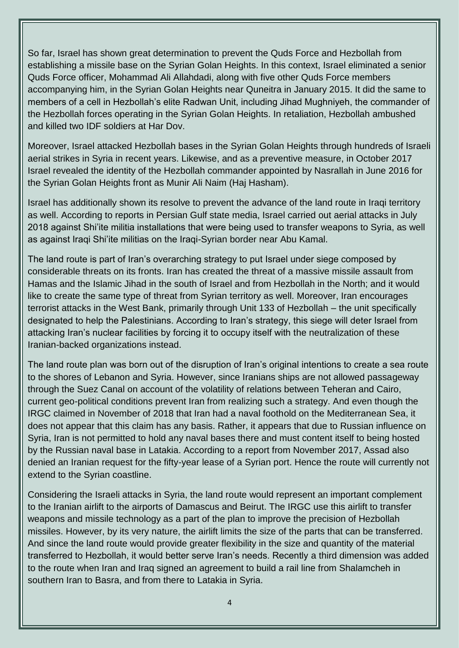So far, Israel has shown great determination to prevent the Quds Force and Hezbollah from establishing a missile base on the Syrian Golan Heights. In this context, Israel eliminated a senior Quds Force officer, Mohammad Ali Allahdadi, along with five other Quds Force members accompanying him, in the Syrian Golan Heights near Quneitra in January 2015. It did the same to members of a cell in Hezbollah's elite Radwan Unit, including Jihad Mughniyeh, the commander of the Hezbollah forces operating in the Syrian Golan Heights. In retaliation, Hezbollah ambushed and killed two IDF soldiers at Har Dov.

Moreover, Israel attacked Hezbollah bases in the Syrian Golan Heights through hundreds of Israeli aerial strikes in Syria in recent years. Likewise, and as a preventive measure, in October 2017 Israel revealed the identity of the Hezbollah commander appointed by Nasrallah in June 2016 for the Syrian Golan Heights front as Munir Ali Naim (Haj Hasham).

Israel has additionally shown its resolve to prevent the advance of the land route in Iraqi territory as well. According to reports in Persian Gulf state media, Israel carried out aerial attacks in July 2018 against Shi'ite militia installations that were being used to transfer weapons to Syria, as well as against Iraqi Shi'ite militias on the Iraqi-Syrian border near Abu Kamal.

The land route is part of Iran's overarching strategy to put Israel under siege composed by considerable threats on its fronts. Iran has created the threat of a massive missile assault from Hamas and the Islamic Jihad in the south of Israel and from Hezbollah in the North; and it would like to create the same type of threat from Syrian territory as well. Moreover, Iran encourages terrorist attacks in the West Bank, primarily through Unit 133 of Hezbollah – the unit specifically designated to help the Palestinians. According to Iran's strategy, this siege will deter Israel from attacking Iran's nuclear facilities by forcing it to occupy itself with the neutralization of these Iranian-backed organizations instead.

The land route plan was born out of the disruption of Iran's original intentions to create a sea route to the shores of Lebanon and Syria. However, since Iranians ships are not allowed passageway through the Suez Canal on account of the volatility of relations between Teheran and Cairo, current geo-political conditions prevent Iran from realizing such a strategy. And even though the IRGC claimed in November of 2018 that Iran had a naval foothold on the Mediterranean Sea, it does not appear that this claim has any basis. Rather, it appears that due to Russian influence on Syria, Iran is not permitted to hold any naval bases there and must content itself to being hosted by the Russian naval base in Latakia. According to a report from November 2017, Assad also denied an Iranian request for the fifty-year lease of a Syrian port. Hence the route will currently not extend to the Syrian coastline.

Considering the Israeli attacks in Syria, the land route would represent an important complement to the Iranian airlift to the airports of Damascus and Beirut. The IRGC use this airlift to transfer weapons and missile technology as a part of the plan to improve the precision of Hezbollah missiles. However, by its very nature, the airlift limits the size of the parts that can be transferred. And since the land route would provide greater flexibility in the size and quantity of the material transferred to Hezbollah, it would better serve Iran's needs. Recently a third dimension was added to the route when Iran and Iraq signed an agreement to build a rail line from Shalamcheh in southern Iran to Basra, and from there to Latakia in Syria.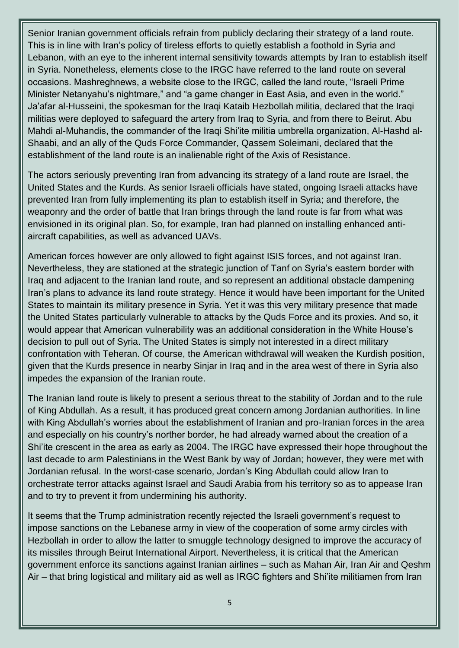Senior Iranian government officials refrain from publicly declaring their strategy of a land route. This is in line with Iran's policy of tireless efforts to quietly establish a foothold in Syria and Lebanon, with an eye to the inherent internal sensitivity towards attempts by Iran to establish itself in Syria. Nonetheless, elements close to the IRGC have referred to the land route on several occasions. Mashreghnews, a website close to the IRGC, called the land route, "Israeli Prime Minister Netanyahu's nightmare," and "a game changer in East Asia, and even in the world." Ja'afar al-Husseini, the spokesman for the Iraqi Kataib Hezbollah militia, declared that the Iraqi militias were deployed to safeguard the artery from Iraq to Syria, and from there to Beirut. Abu Mahdi al-Muhandis, the commander of the Iraqi Shi'ite militia umbrella organization. Al-Hashd al-Shaabi, and an ally of the Quds Force Commander, Qassem Soleimani, declared that the establishment of the land route is an inalienable right of the Axis of Resistance.

The actors seriously preventing Iran from advancing its strategy of a land route are Israel, the United States and the Kurds. As senior Israeli officials have stated, ongoing Israeli attacks have prevented Iran from fully implementing its plan to establish itself in Syria; and therefore, the weaponry and the order of battle that Iran brings through the land route is far from what was envisioned in its original plan. So, for example, Iran had planned on installing enhanced antiaircraft capabilities, as well as advanced UAVs.

American forces however are only allowed to fight against ISIS forces, and not against Iran. Nevertheless, they are stationed at the strategic junction of Tanf on Syria's eastern border with Iraq and adjacent to the Iranian land route, and so represent an additional obstacle dampening Iran's plans to advance its land route strategy. Hence it would have been important for the United States to maintain its military presence in Syria. Yet it was this very military presence that made the United States particularly vulnerable to attacks by the Quds Force and its proxies. And so, it would appear that American vulnerability was an additional consideration in the White House's decision to pull out of Syria. The United States is simply not interested in a direct military confrontation with Teheran. Of course, the American withdrawal will weaken the Kurdish position, given that the Kurds presence in nearby Sinjar in Iraq and in the area west of there in Syria also impedes the expansion of the Iranian route.

The Iranian land route is likely to present a serious threat to the stability of Jordan and to the rule of King Abdullah. As a result, it has produced great concern among Jordanian authorities. In line with King Abdullah's worries about the establishment of Iranian and pro-Iranian forces in the area and especially on his country's norther border, he had already warned about the creation of a Shi'ite crescent in the area as early as 2004. The IRGC have expressed their hope throughout the last decade to arm Palestinians in the West Bank by way of Jordan; however, they were met with Jordanian refusal. In the worst-case scenario, Jordan's King Abdullah could allow Iran to orchestrate terror attacks against Israel and Saudi Arabia from his territory so as to appease Iran and to try to prevent it from undermining his authority.

It seems that the Trump administration recently rejected the Israeli government's request to impose sanctions on the Lebanese army in view of the cooperation of some army circles with Hezbollah in order to allow the latter to smuggle technology designed to improve the accuracy of its missiles through Beirut International Airport. Nevertheless, it is critical that the American government enforce its sanctions against Iranian airlines – such as Mahan Air, Iran Air and Qeshm Air – that bring logistical and military aid as well as IRGC fighters and Shi'ite militiamen from Iran